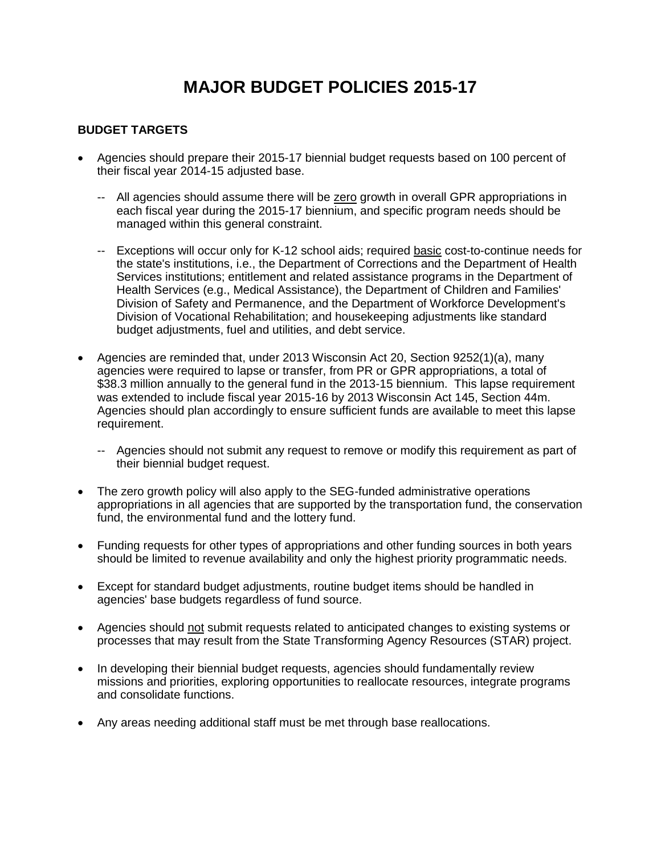# **MAJOR BUDGET POLICIES 2015-17**

#### **BUDGET TARGETS**

- Agencies should prepare their 2015-17 biennial budget requests based on 100 percent of their fiscal year 2014-15 adjusted base.
	- -- All agencies should assume there will be zero growth in overall GPR appropriations in each fiscal year during the 2015-17 biennium, and specific program needs should be managed within this general constraint.
	- -- Exceptions will occur only for K-12 school aids; required basic cost-to-continue needs for the state's institutions, i.e., the Department of Corrections and the Department of Health Services institutions; entitlement and related assistance programs in the Department of Health Services (e.g., Medical Assistance), the Department of Children and Families' Division of Safety and Permanence, and the Department of Workforce Development's Division of Vocational Rehabilitation; and housekeeping adjustments like standard budget adjustments, fuel and utilities, and debt service.
- Agencies are reminded that, under 2013 Wisconsin Act 20, Section 9252(1)(a), many agencies were required to lapse or transfer, from PR or GPR appropriations, a total of \$38.3 million annually to the general fund in the 2013-15 biennium. This lapse requirement was extended to include fiscal year 2015-16 by 2013 Wisconsin Act 145, Section 44m. Agencies should plan accordingly to ensure sufficient funds are available to meet this lapse requirement.
	- -- Agencies should not submit any request to remove or modify this requirement as part of their biennial budget request.
- The zero growth policy will also apply to the SEG-funded administrative operations appropriations in all agencies that are supported by the transportation fund, the conservation fund, the environmental fund and the lottery fund.
- Funding requests for other types of appropriations and other funding sources in both years should be limited to revenue availability and only the highest priority programmatic needs.
- Except for standard budget adjustments, routine budget items should be handled in agencies' base budgets regardless of fund source.
- Agencies should not submit requests related to anticipated changes to existing systems or processes that may result from the State Transforming Agency Resources (STAR) project.
- In developing their biennial budget requests, agencies should fundamentally review missions and priorities, exploring opportunities to reallocate resources, integrate programs and consolidate functions.
- Any areas needing additional staff must be met through base reallocations.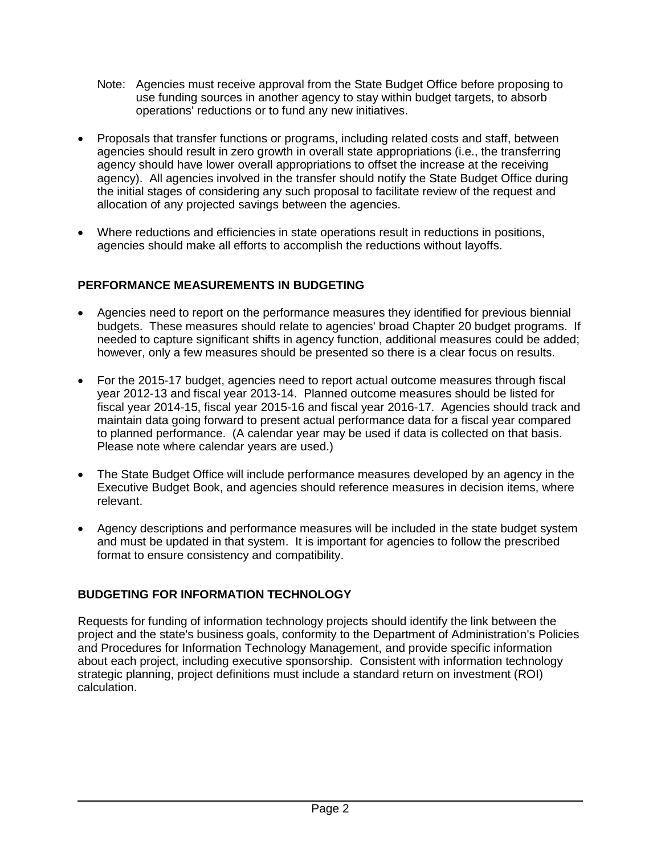- Note: Agencies must receive approval from the State Budget Office before proposing to use funding sources in another agency to stay within budget targets, to absorb operations' reductions or to fund any new initiatives.
- Proposals that transfer functions or programs, including related costs and staff, between agencies should result in zero growth in overall state appropriations (i.e., the transferring agency should have lower overall appropriations to offset the increase at the receiving agency). All agencies involved in the transfer should notify the State Budget Office during the initial stages of considering any such proposal to facilitate review of the request and allocation of any projected savings between the agencies.
- Where reductions and efficiencies in state operations result in reductions in positions, agencies should make all efforts to accomplish the reductions without layoffs.

# **PERFORMANCE MEASUREMENTS IN BUDGETING**

- Agencies need to report on the performance measures they identified for previous biennial budgets. These measures should relate to agencies' broad Chapter 20 budget programs. If needed to capture significant shifts in agency function, additional measures could be added; however, only a few measures should be presented so there is a clear focus on results.
- For the 2015-17 budget, agencies need to report actual outcome measures through fiscal year 2012-13 and fiscal year 2013-14. Planned outcome measures should be listed for fiscal year 2014-15, fiscal year 2015-16 and fiscal year 2016-17. Agencies should track and maintain data going forward to present actual performance data for a fiscal year compared to planned performance. (A calendar year may be used if data is collected on that basis. Please note where calendar years are used.)
- The State Budget Office will include performance measures developed by an agency in the Executive Budget Book, and agencies should reference measures in decision items, where relevant.
- Agency descriptions and performance measures will be included in the state budget system and must be updated in that system. It is important for agencies to follow the prescribed format to ensure consistency and compatibility.

# **BUDGETING FOR INFORMATION TECHNOLOGY**

Requests for funding of information technology projects should identify the link between the project and the state's business goals, conformity to the Department of Administration's Policies and Procedures for Information Technology Management, and provide specific information about each project, including executive sponsorship. Consistent with information technology strategic planning, project definitions must include a standard return on investment (ROI) calculation.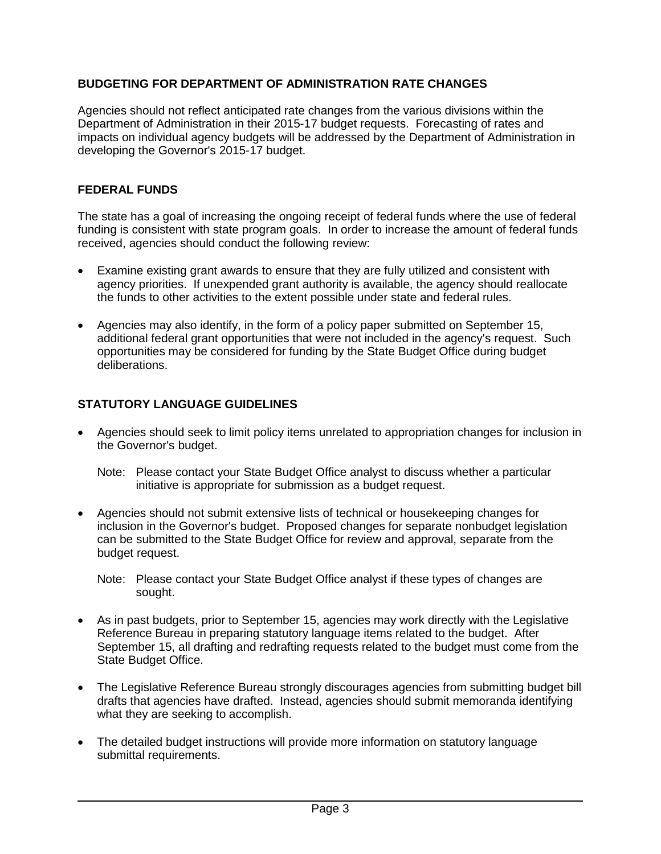#### **BUDGETING FOR DEPARTMENT OF ADMINISTRATION RATE CHANGES**

Agencies should not reflect anticipated rate changes from the various divisions within the Department of Administration in their 2015-17 budget requests. Forecasting of rates and impacts on individual agency budgets will be addressed by the Department of Administration in developing the Governor's 2015-17 budget.

#### **FEDERAL FUNDS**

The state has a goal of increasing the ongoing receipt of federal funds where the use of federal funding is consistent with state program goals. In order to increase the amount of federal funds received, agencies should conduct the following review:

- Examine existing grant awards to ensure that they are fully utilized and consistent with agency priorities. If unexpended grant authority is available, the agency should reallocate the funds to other activities to the extent possible under state and federal rules.
- Agencies may also identify, in the form of a policy paper submitted on September 15, additional federal grant opportunities that were not included in the agency's request. Such opportunities may be considered for funding by the State Budget Office during budget deliberations.

## **STATUTORY LANGUAGE GUIDELINES**

- Agencies should seek to limit policy items unrelated to appropriation changes for inclusion in the Governor's budget.
	- Note: Please contact your State Budget Office analyst to discuss whether a particular initiative is appropriate for submission as a budget request.
- Agencies should not submit extensive lists of technical or housekeeping changes for inclusion in the Governor's budget. Proposed changes for separate nonbudget legislation can be submitted to the State Budget Office for review and approval, separate from the budget request.

Note: Please contact your State Budget Office analyst if these types of changes are sought.

- As in past budgets, prior to September 15, agencies may work directly with the Legislative Reference Bureau in preparing statutory language items related to the budget. After September 15, all drafting and redrafting requests related to the budget must come from the State Budget Office.
- The Legislative Reference Bureau strongly discourages agencies from submitting budget bill drafts that agencies have drafted. Instead, agencies should submit memoranda identifying what they are seeking to accomplish.
- The detailed budget instructions will provide more information on statutory language submittal requirements.